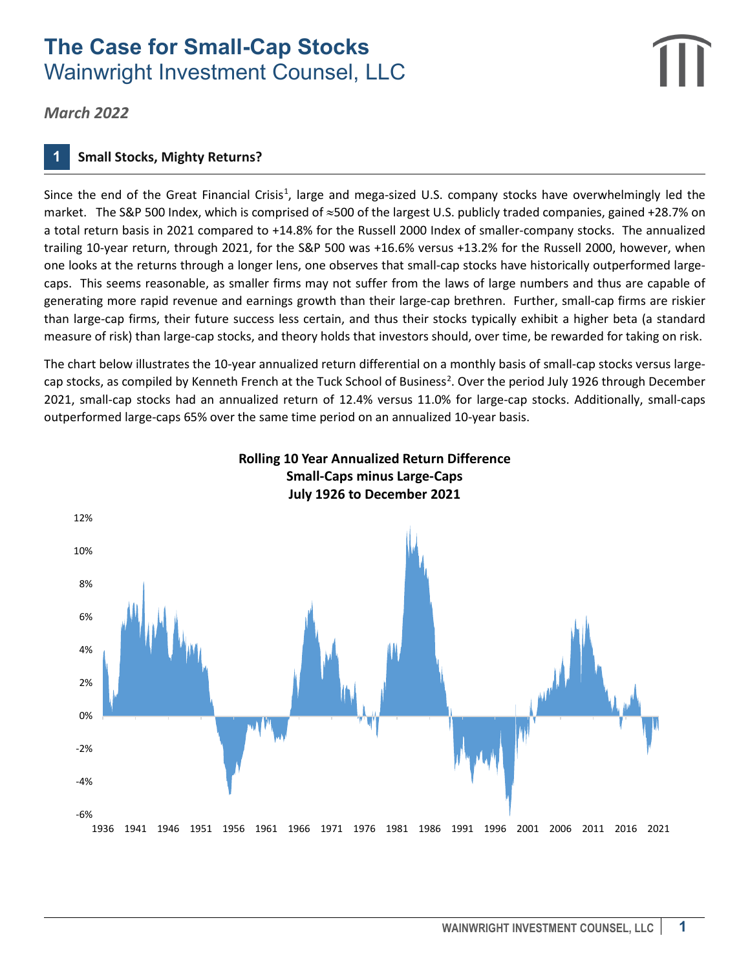## **The Case for Small-Cap Stocks** Wainwright Investment Counsel, LLC

*March 2022*

## **1 Small Stocks, Mighty Returns?**

Since the end of the Great Financial Crisis<sup>[1](#page-2-0)</sup>, large and mega-sized U.S. company stocks have overwhelmingly led the market. The S&P 500 Index, which is comprised of **≈**500 of the largest U.S. publicly traded companies, gained +28.7% on a total return basis in 2021 compared to +14.8% for the Russell 2000 Index of smaller-company stocks. The annualized trailing 10-year return, through 2021, for the S&P 500 was +16.6% versus +13.2% for the Russell 2000, however, when one looks at the returns through a longer lens, one observes that small-cap stocks have historically outperformed largecaps. This seems reasonable, as smaller firms may not suffer from the laws of large numbers and thus are capable of generating more rapid revenue and earnings growth than their large-cap brethren. Further, small-cap firms are riskier than large-cap firms, their future success less certain, and thus their stocks typically exhibit a higher beta (a standard measure of risk) than large-cap stocks, and theory holds that investors should, over time, be rewarded for taking on risk.

The chart below illustrates the 10-year annualized return differential on a monthly basis of small-cap stocks versus large-cap stocks, as compiled by Kenneth French at the Tuck School of Business<sup>[2](#page-2-1)</sup>. Over the period July 1926 through December 2021, small-cap stocks had an annualized return of 12.4% versus 11.0% for large-cap stocks. Additionally, small-caps outperformed large-caps 65% over the same time period on an annualized 10-year basis.



**Rolling 10 Year Annualized Return Difference Small-Caps minus Large-Caps July 1926 to December 2021**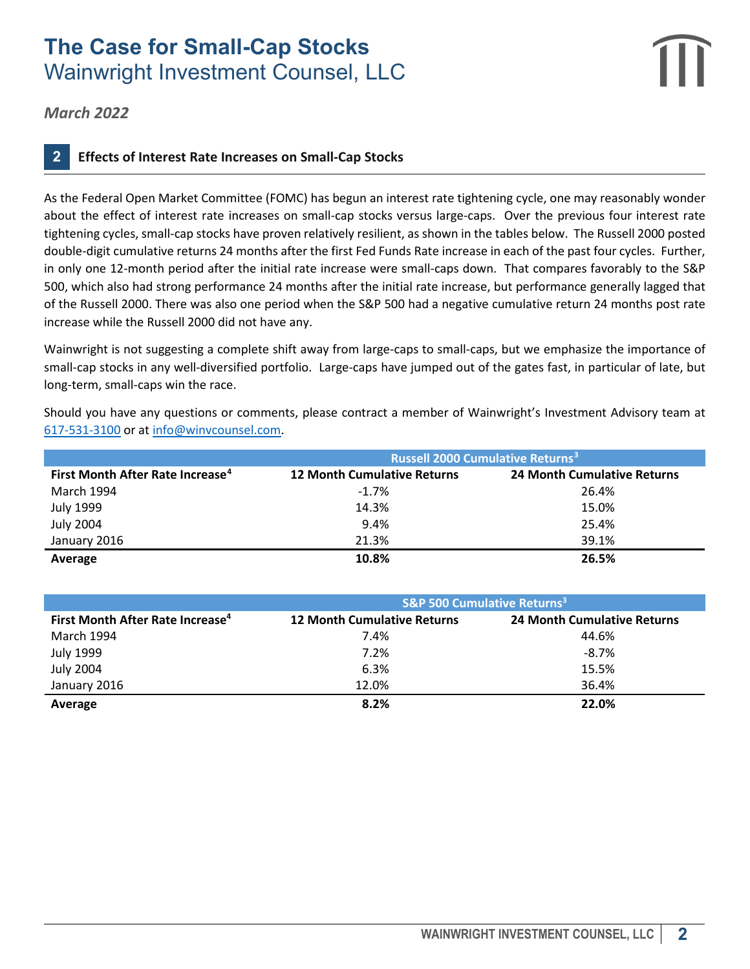# **The Case for Small-Cap Stocks** Wainwright Investment Counsel, LLC

*March 2022*

### **2 Effects of Interest Rate Increases on Small-Cap Stocks**

As the Federal Open Market Committee (FOMC) has begun an interest rate tightening cycle, one may reasonably wonder about the effect of interest rate increases on small-cap stocks versus large-caps. Over the previous four interest rate tightening cycles, small-cap stocks have proven relatively resilient, as shown in the tables below. The Russell 2000 posted double-digit cumulative returns 24 months after the first Fed Funds Rate increase in each of the past four cycles. Further, in only one 12-month period after the initial rate increase were small-caps down. That compares favorably to the S&P 500, which also had strong performance 24 months after the initial rate increase, but performance generally lagged that of the Russell 2000. There was also one period when the S&P 500 had a negative cumulative return 24 months post rate increase while the Russell 2000 did not have any.

Wainwright is not suggesting a complete shift away from large-caps to small-caps, but we emphasize the importance of small-cap stocks in any well-diversified portfolio. Large-caps have jumped out of the gates fast, in particular of late, but long-term, small-caps win the race.

Should you have any questions or comments, please contract a member of Wainwright's Investment Advisory team at [617-531-3100](tel:16175313100) or a[t info@winvcounsel.com.](mailto:info@winvcounsel.com)

<span id="page-1-1"></span><span id="page-1-0"></span>

|                                              | <b>Russell 2000 Cumulative Returns<sup>3</sup></b> |                                    |
|----------------------------------------------|----------------------------------------------------|------------------------------------|
| First Month After Rate Increase <sup>4</sup> | <b>12 Month Cumulative Returns</b>                 | <b>24 Month Cumulative Returns</b> |
| <b>March 1994</b>                            | $-1.7\%$                                           | 26.4%                              |
| <b>July 1999</b>                             | 14.3%                                              | 15.0%                              |
| <b>July 2004</b>                             | 9.4%                                               | 25.4%                              |
| January 2016                                 | 21.3%                                              | 39.1%                              |
| Average                                      | 10.8%                                              | 26.5%                              |

|                                              | S&P 500 Cumulative Returns <sup>3</sup> |                                    |
|----------------------------------------------|-----------------------------------------|------------------------------------|
| First Month After Rate Increase <sup>4</sup> | <b>12 Month Cumulative Returns</b>      | <b>24 Month Cumulative Returns</b> |
| <b>March 1994</b>                            | 7.4%                                    | 44.6%                              |
| <b>July 1999</b>                             | 7.2%                                    | $-8.7%$                            |
| <b>July 2004</b>                             | 6.3%                                    | 15.5%                              |
| January 2016                                 | 12.0%                                   | 36.4%                              |
| Average                                      | 8.2%                                    | 22.0%                              |